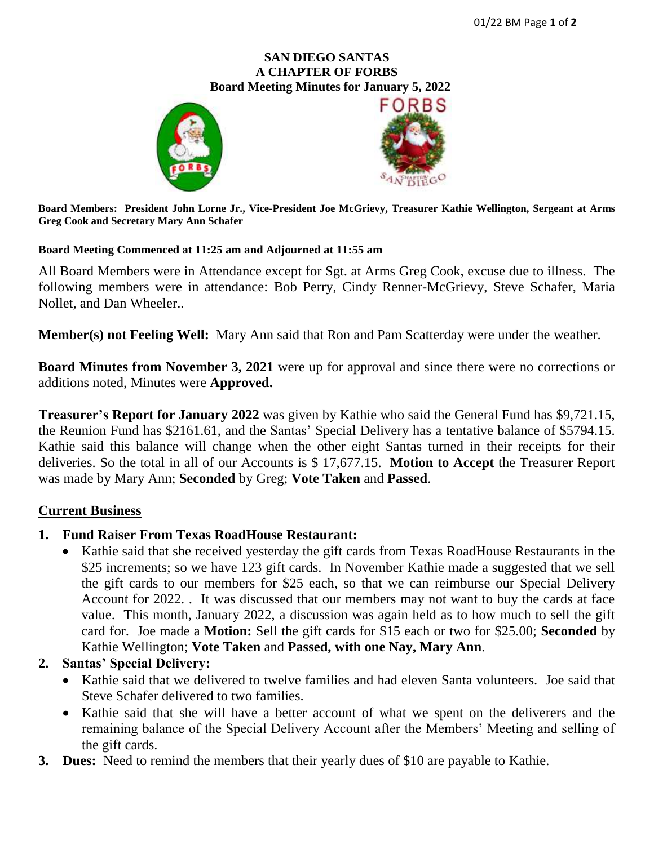## **SAN DIEGO SANTAS A CHAPTER OF FORBS**  **Board Meeting Minutes for January 5, 2022**





**Board Members: President John Lorne Jr., Vice-President Joe McGrievy, Treasurer Kathie Wellington, Sergeant at Arms Greg Cook and Secretary Mary Ann Schafer**

#### **Board Meeting Commenced at 11:25 am and Adjourned at 11:55 am**

All Board Members were in Attendance except for Sgt. at Arms Greg Cook, excuse due to illness. The following members were in attendance: Bob Perry, Cindy Renner-McGrievy, Steve Schafer, Maria Nollet, and Dan Wheeler..

**Member(s) not Feeling Well:** Mary Ann said that Ron and Pam Scatterday were under the weather.

**Board Minutes from November 3, 2021** were up for approval and since there were no corrections or additions noted, Minutes were **Approved.**

**Treasurer's Report for January 2022** was given by Kathie who said the General Fund has \$9,721.15, the Reunion Fund has \$2161.61, and the Santas' Special Delivery has a tentative balance of \$5794.15. Kathie said this balance will change when the other eight Santas turned in their receipts for their deliveries. So the total in all of our Accounts is \$ 17,677.15. **Motion to Accept** the Treasurer Report was made by Mary Ann; **Seconded** by Greg; **Vote Taken** and **Passed**.

#### **Current Business**

#### **1. Fund Raiser From Texas RoadHouse Restaurant:**

• Kathie said that she received yesterday the gift cards from Texas RoadHouse Restaurants in the \$25 increments; so we have 123 gift cards. In November Kathie made a suggested that we sell the gift cards to our members for \$25 each, so that we can reimburse our Special Delivery Account for 2022. . It was discussed that our members may not want to buy the cards at face value. This month, January 2022, a discussion was again held as to how much to sell the gift card for. Joe made a **Motion:** Sell the gift cards for \$15 each or two for \$25.00; **Seconded** by Kathie Wellington; **Vote Taken** and **Passed, with one Nay, Mary Ann**.

# **2. Santas' Special Delivery:**

- Kathie said that we delivered to twelve families and had eleven Santa volunteers. Joe said that Steve Schafer delivered to two families.
- Kathie said that she will have a better account of what we spent on the deliverers and the remaining balance of the Special Delivery Account after the Members' Meeting and selling of the gift cards.
- **3. Dues:** Need to remind the members that their yearly dues of \$10 are payable to Kathie.